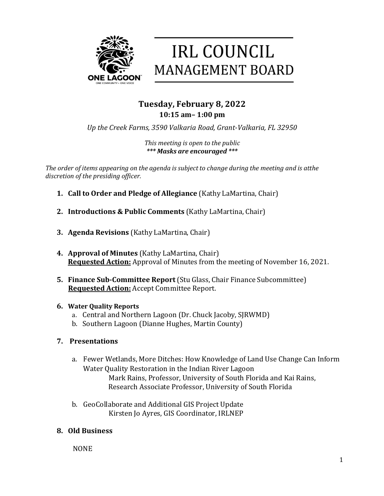



# **Tuesday, February 8, 2022 10:15 am– 1:00 pm**

Up the Creek Farms, 3590 Valkaria Road, Grant-Valkaria, FL 32950

*This meeting is open to the public \*\*\* Masks are encouraged \*\*\**

*The order of items appearing on the agenda is subject to change during the meeting and is atthe discretion of the presiding officer.* 

- **1. Call to Order and Pledge of Allegiance** (Kathy LaMartina, Chair)
- **2. Introductions & Public Comments** (Kathy LaMartina, Chair)
- **3. Agenda Revisions** (Kathy LaMartina, Chair)
- **4. Approval of Minutes** (Kathy LaMartina, Chair) **Requested Action:** Approval of Minutes from the meeting of November 16, 2021.
- **5. Finance Sub-Committee Report** (Stu Glass, Chair Finance Subcommittee) **Requested Action:** Accept Committee Report.

# **6. Water Quality Reports**

- a. Central and Northern Lagoon (Dr. Chuck Jacoby, SJRWMD)
- b. Southern Lagoon (Dianne Hughes, Martin County)

# **7. Presentations**

- a. Fewer Wetlands, More Ditches: How Knowledge of Land Use Change Can Inform Water Quality Restoration in the Indian River Lagoon Mark Rains, Professor, University of South Florida and Kai Rains, Research Associate Professor, University of South Florida
- b. GeoCollaborate and Additional GIS Project Update Kirsten Jo Ayres, GIS Coordinator, IRLNEP

# **8. Old Business**

 NONE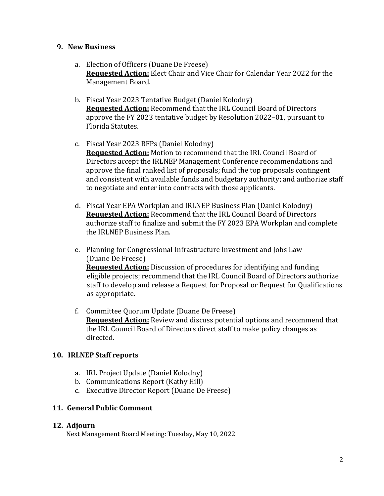#### **9. New Business**

- a. Election of Officers (Duane De Freese) **Requested Action:** Elect Chair and Vice Chair for Calendar Year 2022 for the Management Board.
- b. Fiscal Year 2023 Tentative Budget (Daniel Kolodny) **Requested Action:** Recommend that the IRL Council Board of Directors approve the FY 2023 tentative budget by Resolution 2022–01, pursuant to Florida Statutes.
- c. Fiscal Year 2023 RFPs (Daniel Kolodny) **Requested Action:** Motion to recommend that the IRL Council Board of Directors accept the IRLNEP Management Conference recommendations and approve the final ranked list of proposals; fund the top proposals contingent and consistent with available funds and budgetary authority; and authorize staff to negotiate and enter into contracts with those applicants.
- d. Fiscal Year EPA Workplan and IRLNEP Business Plan (Daniel Kolodny) **Requested Action:** Recommend that the IRL Council Board of Directors authorize staff to finalize and submit the FY 2023 EPA Workplan and complete the IRLNEP Business Plan.
- e. Planning for Congressional Infrastructure Investment and Jobs Law (Duane De Freese) **Requested Action:** Discussion of procedures for identifying and funding eligible projects; recommend that the IRL Council Board of Directors authorize staff to develop and release a Request for Proposal or Request for Qualifications as appropriate.
- f. Committee Quorum Update (Duane De Freese) **Requested Action:** Review and discuss potential options and recommend that the IRL Council Board of Directors direct staff to make policy changes as directed.

## **10. IRLNEP Staff reports**

- a. IRL Project Update (Daniel Kolodny)
- b. Communications Report (Kathy Hill)
- c. Executive Director Report (Duane De Freese)

## **11. General Public Comment**

## **12. Adjourn**

Next Management Board Meeting: Tuesday, May 10, 2022